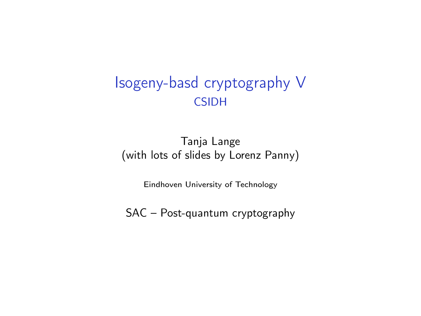#### Isogeny-basd cryptography V **CSIDH**

#### Tanja Lange (with lots of slides by Lorenz Panny)

Eindhoven University of Technology

SAC – Post-quantum cryptography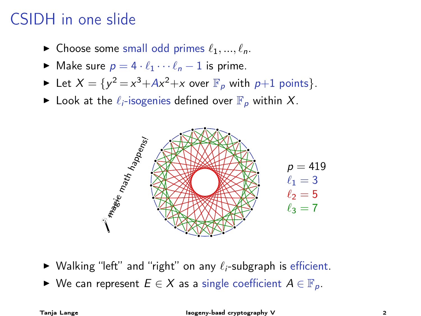### CSIDH in one slide

- $\blacktriangleright$  Choose some small odd primes  $\ell_1, ..., \ell_n$ .
- $\triangleright$  Make sure  $p = 4 \cdot \ell_1 \cdots \ell_n 1$  is prime.
- In Let  $X = \{y^2 = x^3 + Ax^2 + x \text{ over } \mathbb{F}_p \text{ with } p+1 \text{ points}\}.$
- $\blacktriangleright$  Look at the  $\ell_i$ -isogenies defined over  $\mathbb{F}_p$  within X.



- $\triangleright$  Walking "left" and "right" on any  $\ell_i$ -subgraph is efficient.
- ► We can represent  $E \in X$  as a single coefficient  $A \in \mathbb{F}_{p}$ .

Tanja Lange Isogeny-basd cryptography V 2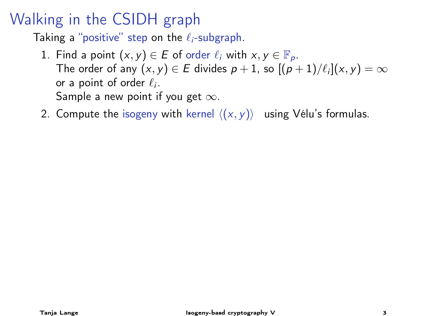#### Walking in the CSIDH graph

Taking a "positive" step on the  $\ell_i$ -subgraph.

- 1. Find a point  $(x, y) \in E$  of order  $\ell_i$  with  $x, y \in \mathbb{F}_p$ . The order of any  $(x, y) \in E$  divides  $p + 1$ , so  $[(p + 1)/\ell_i](x, y) = \infty$ or a point of order  $\ell_i$ . Sample a new point if you get  $\infty$ .
- 2. Compute the isogeny with kernel  $\langle (x, y) \rangle$  using Vélu's formulas.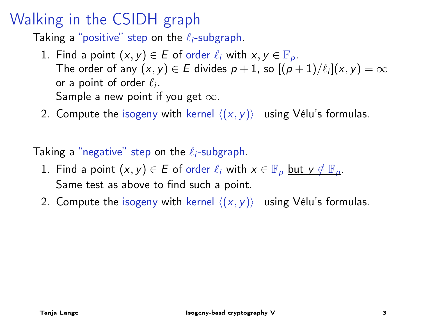#### Walking in the CSIDH graph

Taking a "positive" step on the  $\ell_i$ -subgraph.

- 1. Find a point  $(x, y) \in E$  of order  $\ell_i$  with  $x, y \in \mathbb{F}_p$ . The order of any  $(x, y) \in E$  divides  $p + 1$ , so  $[(p + 1)/\ell_i](x, y) = \infty$ or a point of order  $\ell_i$ . Sample a new point if you get  $\infty$ .
- 2. Compute the isogeny with kernel  $\langle (x, y) \rangle$  using Vélu's formulas.

Taking a "negative" step on the  $\ell_i$ -subgraph.

- 1. Find a point  $(x, y) \in E$  of order  $\ell_i$  with  $x \in \mathbb{F}_p$  but  $y \notin \mathbb{F}_p$ . Same test as above to find such a point.
- 2. Compute the isogeny with kernel  $\langle (x, y) \rangle$  using Vélu's formulas.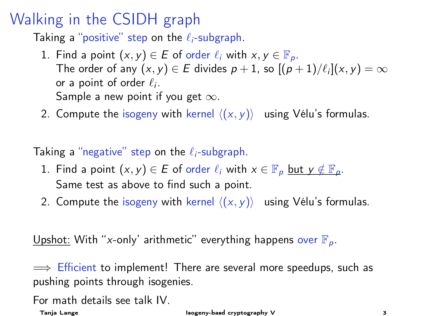#### Walking in the CSIDH graph

Taking a "positive" step on the  $\ell_i$ -subgraph.

- 1. Find a point  $(x, y) \in E$  of order  $\ell_i$  with  $x, y \in \mathbb{F}_p$ . The order of any  $(x, y) \in E$  divides  $p + 1$ , so  $[(p + 1)/\ell_i](x, y) = \infty$ or a point of order  $\ell_i$ . Sample a new point if you get  $\infty$ .
- 2. Compute the isogeny with kernel  $\langle (x, y) \rangle$  using Vélu's formulas.

Taking a "negative" step on the  $\ell_i$ -subgraph.

- 1. Find a point  $(x, y) \in E$  of order  $\ell_i$  with  $x \in \mathbb{F}_p$  but  $y \notin \mathbb{F}_p$ . Same test as above to find such a point.
- 2. Compute the isogeny with kernel  $\langle (x, y) \rangle$  using Vélu's formulas.

Upshot: With "x-only' arithmetic" everything happens over  $\mathbb{F}_p$ .

 $\implies$  Efficient to implement! There are several more speedups, such as pushing points through isogenies.

For math details see talk IV.

Tanja Lange Isogeny-basd cryptography V 3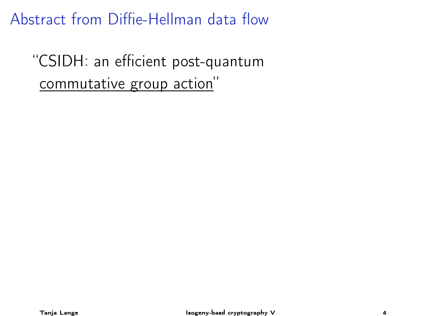"CSIDH: an efficient post-quantum commutative group action"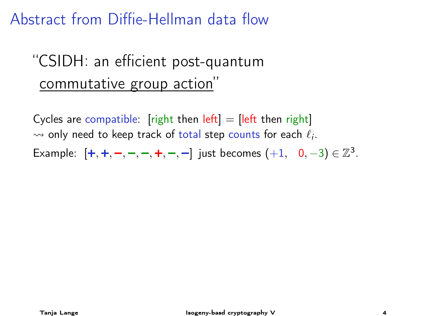# "CSIDH: an efficient post-quantum commutative group action"

Cycles are compatible: [right then  $left] =$  [left then right]  $\rightsquigarrow$  only need to keep track of total step counts for each  $\ell_i.$ Example:  $[+, +, -, -, -, +, -, -]$  just becomes  $(+1, 0, -3) \in \mathbb{Z}^3$ .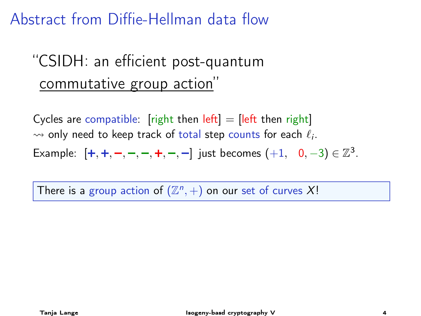# "CSIDH: an efficient post-quantum commutative group action"

Cycles are compatible: [right then  $left] =$  [left then right]  $\rightsquigarrow$  only need to keep track of total step counts for each  $\ell_i.$ Example:  $[+, +, -, -, -, +, -, -]$  just becomes  $(+1, 0, -3) \in \mathbb{Z}^3$ .

There is a group action of  $(\mathbb{Z}^n, +)$  on our set of curves X!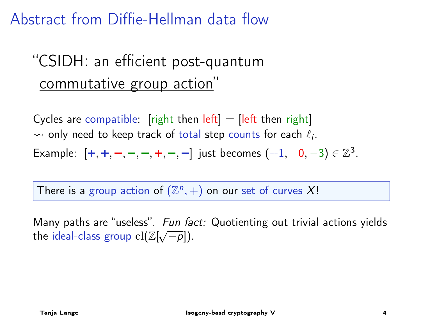# "CSIDH: an efficient post-quantum commutative group action"

Cycles are compatible: [right then  $left] =$  [left then right]  $\rightsquigarrow$  only need to keep track of total step counts for each  $\ell_i.$ Example:  $[+, +, -, -, -, +, -, -]$  just becomes  $(+1, 0, -3) \in \mathbb{Z}^3$ .

There is a group action of  $(\mathbb{Z}^n, +)$  on our set of curves X!

Many paths are "useless". Fun fact: Quotienting out trivial actions yields what y paths are useress  $\therefore$  run random random random random random random random random random random random  $cl(\mathbb{Z}[\sqrt{-p}]).$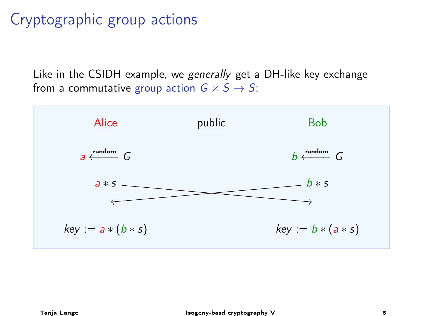### Cryptographic group actions

Like in the CSIDH example, we generally get a DH-like key exchange from a commutative group action  $G \times S \rightarrow S$ :

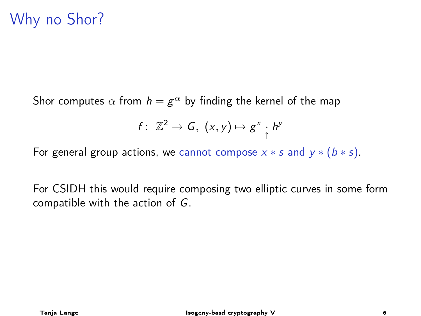#### Why no Shor?

Shor computes  $\alpha$  from  $h=g^\alpha$  by finding the kernel of the map

$$
f: \ \mathbb{Z}^2 \to G, \ (x,y) \mapsto g^x \cdot h^y
$$

For general group actions, we cannot compose  $x * s$  and  $y * (b * s)$ .

For CSIDH this would require composing two elliptic curves in some form compatible with the action of G.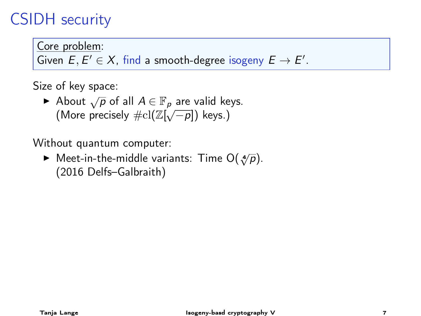#### CSIDH security

Core problem:

Given  $E, E' \in X$ , find a smooth-degree isogeny  $E \to E'$ .

Size of key space:

► of noy operations that  $\varphi \in \mathbb{F}_p$  are valid keys. About  $\sqrt{p}$  or an  $A \in \mathbb{F}_p$  are valid ke<br>(More precisely  $\# \mathrm{cl}(\mathbb{Z}[\sqrt{-p}])$  keys.)

Without quantum computer:

**► Meet-in-the-middle variants: Time**  $O(\sqrt[4]{p})$ **.** (2016 Delfs–Galbraith)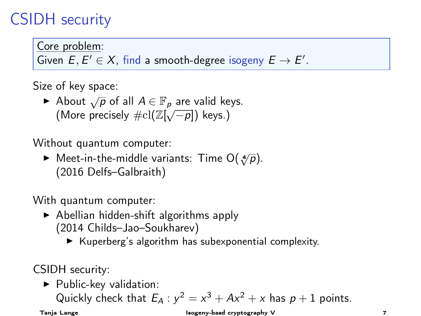#### CSIDH security

Core problem:

Given  $E, E' \in X$ , find a smooth-degree isogeny  $E \to E'$ .

Size of key space:

► of noy operations that  $\varphi \in \mathbb{F}_p$  are valid keys. About  $\sqrt{p}$  or an  $A \in \mathbb{F}_p$  are valid ke<br>(More precisely  $\# \mathrm{cl}(\mathbb{Z}[\sqrt{-p}])$  keys.)

Without quantum computer:

**► Meet-in-the-middle variants: Time**  $O(\sqrt[4]{p})$ **.** (2016 Delfs–Galbraith)

With quantum computer:

- $\triangleright$  Abellian hidden-shift algorithms apply (2014 Childs–Jao–Soukharev)
	- $\blacktriangleright$  Kuperberg's algorithm has subexponential complexity.

CSIDH security:

 $\blacktriangleright$  Public-key validation:

Quickly check that  $E_A : y^2 = x^3 + Ax^2 + x$  has  $p + 1$  points.

Tanja Lange Isogeny-basd cryptography V 7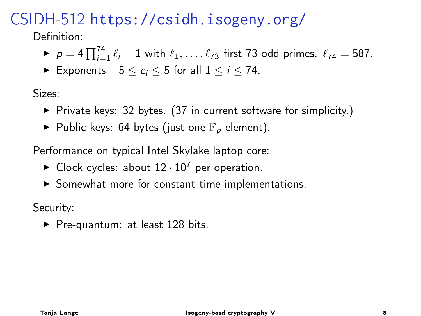#### CSIDH-512 <https://csidh.isogeny.org/>

Definition:

- ▶  $p = 4 \prod_{i=1}^{74} \ell_i 1$  with  $\ell_1, \ldots, \ell_{73}$  first 73 odd primes.  $\ell_{74} = 587$ .
- ► Exponents  $-5 < e_i < 5$  for all  $1 < i < 74$ .

Sizes:

- $\triangleright$  Private keys: 32 bytes. (37 in current software for simplicity.)
- $\blacktriangleright$  Public keys: 64 bytes (just one  $\mathbb{F}_p$  element).

Performance on typical Intel Skylake laptop core:

- $\blacktriangleright$  Clock cycles: about  $12 \cdot 10^7$  per operation.
- $\triangleright$  Somewhat more for constant-time implementations.

Security:

 $\blacktriangleright$  Pre-quantum: at least 128 bits.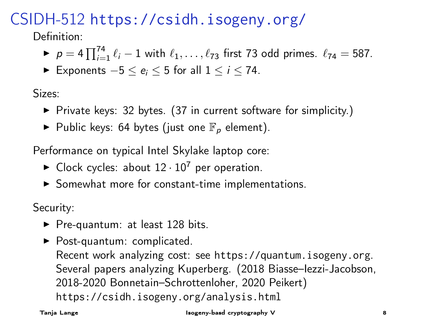#### CSIDH-512 <https://csidh.isogeny.org/>

Definition:

- ▶  $p = 4 \prod_{i=1}^{74} \ell_i 1$  with  $\ell_1, \ldots, \ell_{73}$  first 73 odd primes.  $\ell_{74} = 587$ .
- ► Exponents  $-5 < e_i < 5$  for all  $1 < i < 74$ .

Sizes:

- $\triangleright$  Private keys: 32 bytes. (37 in current software for simplicity.)
- $\blacktriangleright$  Public keys: 64 bytes (just one  $\mathbb{F}_p$  element).

Performance on typical Intel Skylake laptop core:

- $\blacktriangleright$  Clock cycles: about  $12 \cdot 10^7$  per operation.
- $\triangleright$  Somewhat more for constant-time implementations.

Security:

- $\blacktriangleright$  Pre-quantum: at least 128 bits.
- $\blacktriangleright$  Post-quantum: complicated. Recent work analyzing cost: see <https://quantum.isogeny.org>. Several papers analyzing Kuperberg. (2018 Biasse–Iezzi-Jacobson, 2018-2020 Bonnetain–Schrottenloher, 2020 Peikert) <https://csidh.isogeny.org/analysis.html>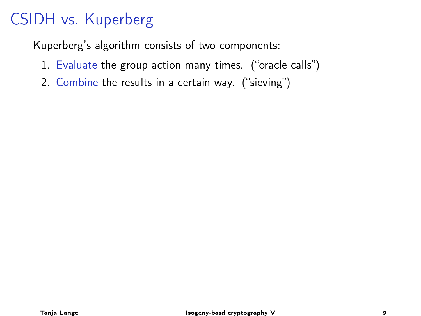Kuperberg's algorithm consists of two components:

- 1. Evaluate the group action many times. ("oracle calls")
- 2. Combine the results in a certain way. ("sieving")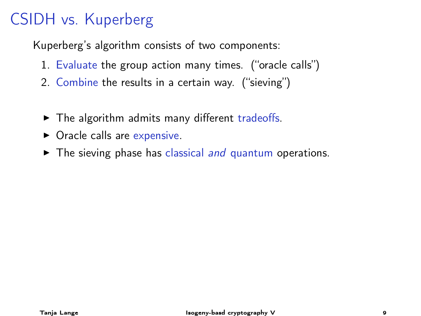Kuperberg's algorithm consists of two components:

- 1. Evaluate the group action many times. ("oracle calls")
- 2. Combine the results in a certain way. ("sieving")
- $\triangleright$  The algorithm admits many different tradeoffs.
- $\triangleright$  Oracle calls are expensive.
- $\blacktriangleright$  The sieving phase has classical and quantum operations.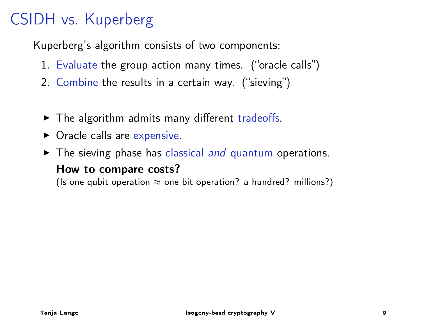Kuperberg's algorithm consists of two components:

- 1. Evaluate the group action many times. ("oracle calls")
- 2. Combine the results in a certain way. ("sieving")
- $\triangleright$  The algorithm admits many different tradeoffs.
- $\triangleright$  Oracle calls are expensive.
- $\blacktriangleright$  The sieving phase has classical and quantum operations. How to compare costs?

(Is one qubit operation  $\approx$  one bit operation? a hundred? millions?)